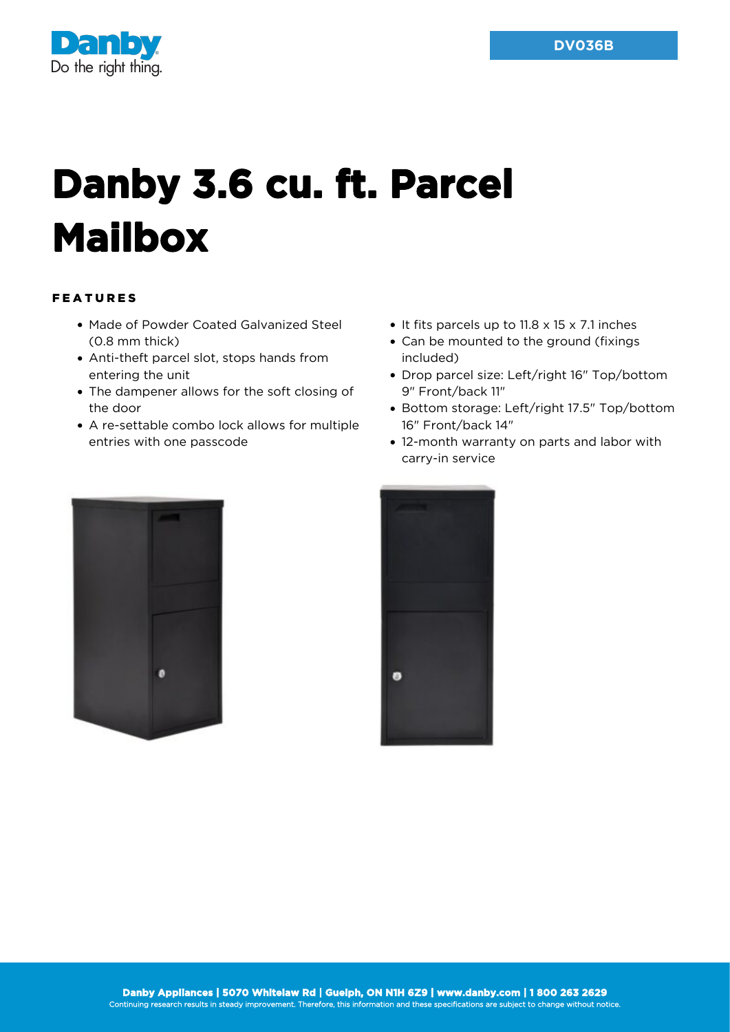

## **Danby 3.6 cu. ft. Parcel Mailbox**

## FEATURES

- Made of Powder Coated Galvanized Steel (0.8 mm thick)
- Anti-theft parcel slot, stops hands from entering the unit
- The dampener allows for the soft closing of the door
- A re-settable combo lock allows for multiple entries with one passcode
- $\bullet$  It fits parcels up to 11.8 x 15 x 7.1 inches
- Can be mounted to the ground (fixings included)
- Drop parcel size: Left/right 16" Top/bottom 9" Front/back 11"
- Bottom storage: Left/right 17.5" Top/bottom 16" Front/back 14"
- 12-month warranty on parts and labor with carry-in service